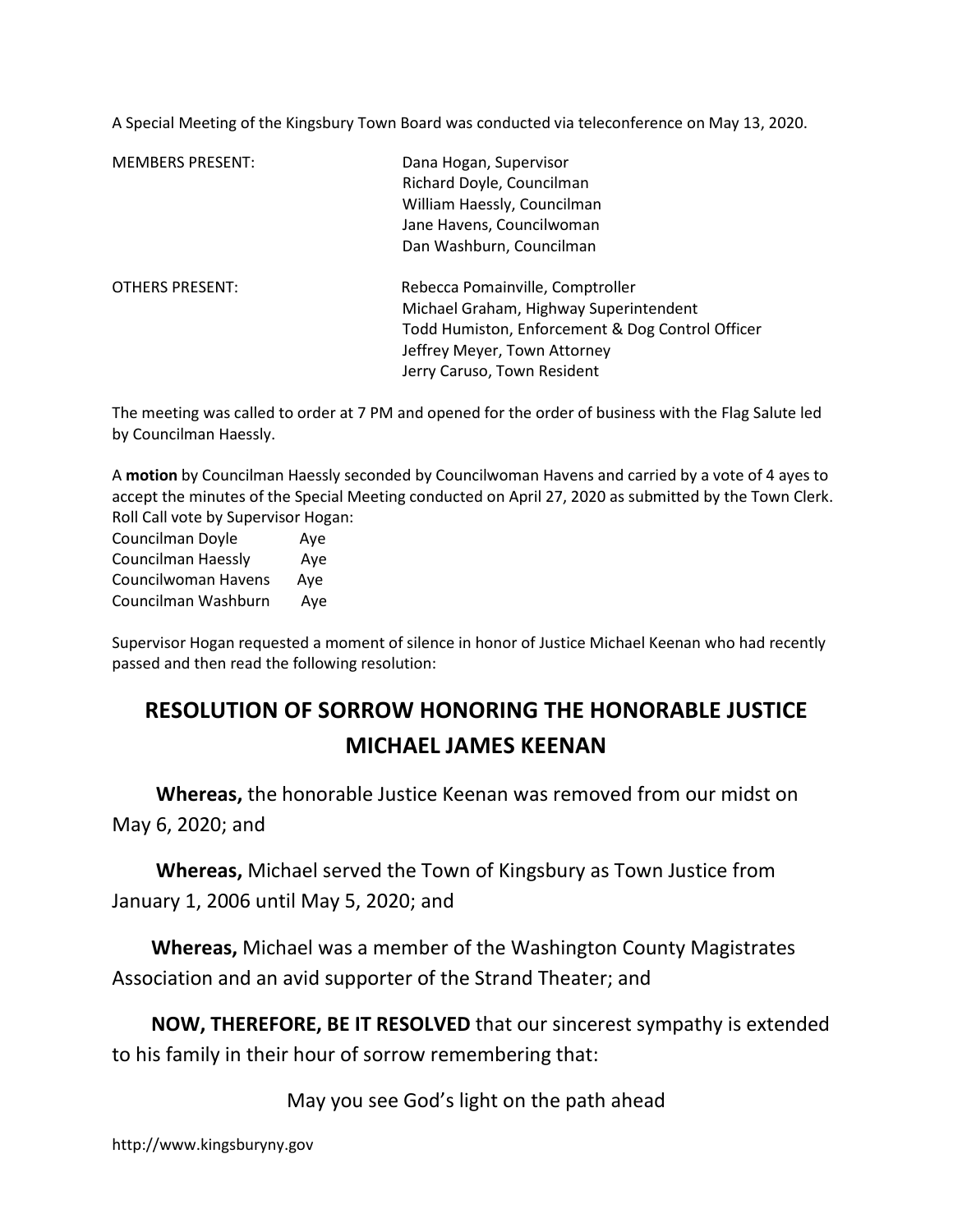A Special Meeting of the Kingsbury Town Board was conducted via teleconference on May 13, 2020.

| <b>MEMBERS PRESENT:</b> | Dana Hogan, Supervisor<br>Richard Doyle, Councilman<br>William Haessly, Councilman<br>Jane Havens, Councilwoman<br>Dan Washburn, Councilman                                                   |
|-------------------------|-----------------------------------------------------------------------------------------------------------------------------------------------------------------------------------------------|
| <b>OTHERS PRESENT:</b>  | Rebecca Pomainville, Comptroller<br>Michael Graham, Highway Superintendent<br>Todd Humiston, Enforcement & Dog Control Officer<br>Jeffrey Meyer, Town Attorney<br>Jerry Caruso, Town Resident |

The meeting was called to order at 7 PM and opened for the order of business with the Flag Salute led by Councilman Haessly.

A motion by Councilman Haessly seconded by Councilwoman Havens and carried by a vote of 4 ayes to accept the minutes of the Special Meeting conducted on April 27, 2020 as submitted by the Town Clerk. Roll Call vote by Supervisor Hogan:

Councilman Doyle Aye Councilman Haessly Aye Councilwoman Havens Aye Councilman Washburn Aye

Supervisor Hogan requested a moment of silence in honor of Justice Michael Keenan who had recently passed and then read the following resolution:

# RESOLUTION OF SORROW HONORING THE HONORABLE JUSTICE MICHAEL JAMES KEENAN

 Whereas, the honorable Justice Keenan was removed from our midst on May 6, 2020; and

 Whereas, Michael served the Town of Kingsbury as Town Justice from January 1, 2006 until May 5, 2020; and

 Whereas, Michael was a member of the Washington County Magistrates Association and an avid supporter of the Strand Theater; and

 NOW, THEREFORE, BE IT RESOLVED that our sincerest sympathy is extended to his family in their hour of sorrow remembering that:

May you see God's light on the path ahead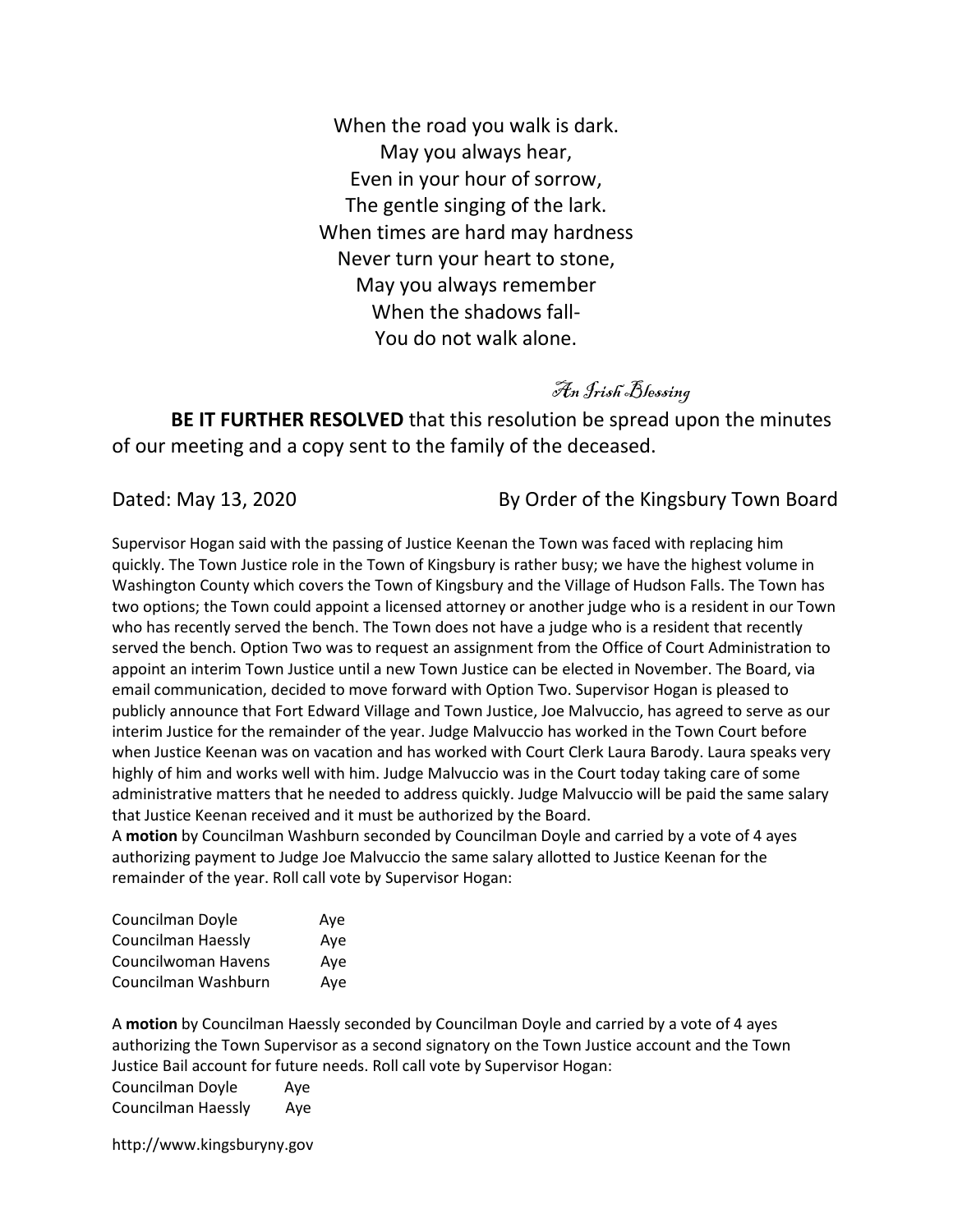When the road you walk is dark. May you always hear, Even in your hour of sorrow, The gentle singing of the lark. When times are hard may hardness Never turn your heart to stone, May you always remember When the shadows fall-You do not walk alone.

An Irish Blessing

BE IT FURTHER RESOLVED that this resolution be spread upon the minutes of our meeting and a copy sent to the family of the deceased.

Dated: May 13, 2020 **By Order of the Kingsbury Town Board** 

Supervisor Hogan said with the passing of Justice Keenan the Town was faced with replacing him quickly. The Town Justice role in the Town of Kingsbury is rather busy; we have the highest volume in Washington County which covers the Town of Kingsbury and the Village of Hudson Falls. The Town has two options; the Town could appoint a licensed attorney or another judge who is a resident in our Town who has recently served the bench. The Town does not have a judge who is a resident that recently served the bench. Option Two was to request an assignment from the Office of Court Administration to appoint an interim Town Justice until a new Town Justice can be elected in November. The Board, via email communication, decided to move forward with Option Two. Supervisor Hogan is pleased to publicly announce that Fort Edward Village and Town Justice, Joe Malvuccio, has agreed to serve as our interim Justice for the remainder of the year. Judge Malvuccio has worked in the Town Court before when Justice Keenan was on vacation and has worked with Court Clerk Laura Barody. Laura speaks very highly of him and works well with him. Judge Malvuccio was in the Court today taking care of some administrative matters that he needed to address quickly. Judge Malvuccio will be paid the same salary that Justice Keenan received and it must be authorized by the Board.

A motion by Councilman Washburn seconded by Councilman Doyle and carried by a vote of 4 ayes authorizing payment to Judge Joe Malvuccio the same salary allotted to Justice Keenan for the remainder of the year. Roll call vote by Supervisor Hogan:

| Councilman Doyle          | Aye |
|---------------------------|-----|
| <b>Councilman Haessly</b> | Ave |
| Councilwoman Havens       | Ave |
| Councilman Washburn       | Ave |

A motion by Councilman Haessly seconded by Councilman Doyle and carried by a vote of 4 ayes authorizing the Town Supervisor as a second signatory on the Town Justice account and the Town Justice Bail account for future needs. Roll call vote by Supervisor Hogan:

Councilman Doyle Aye Councilman Haessly Aye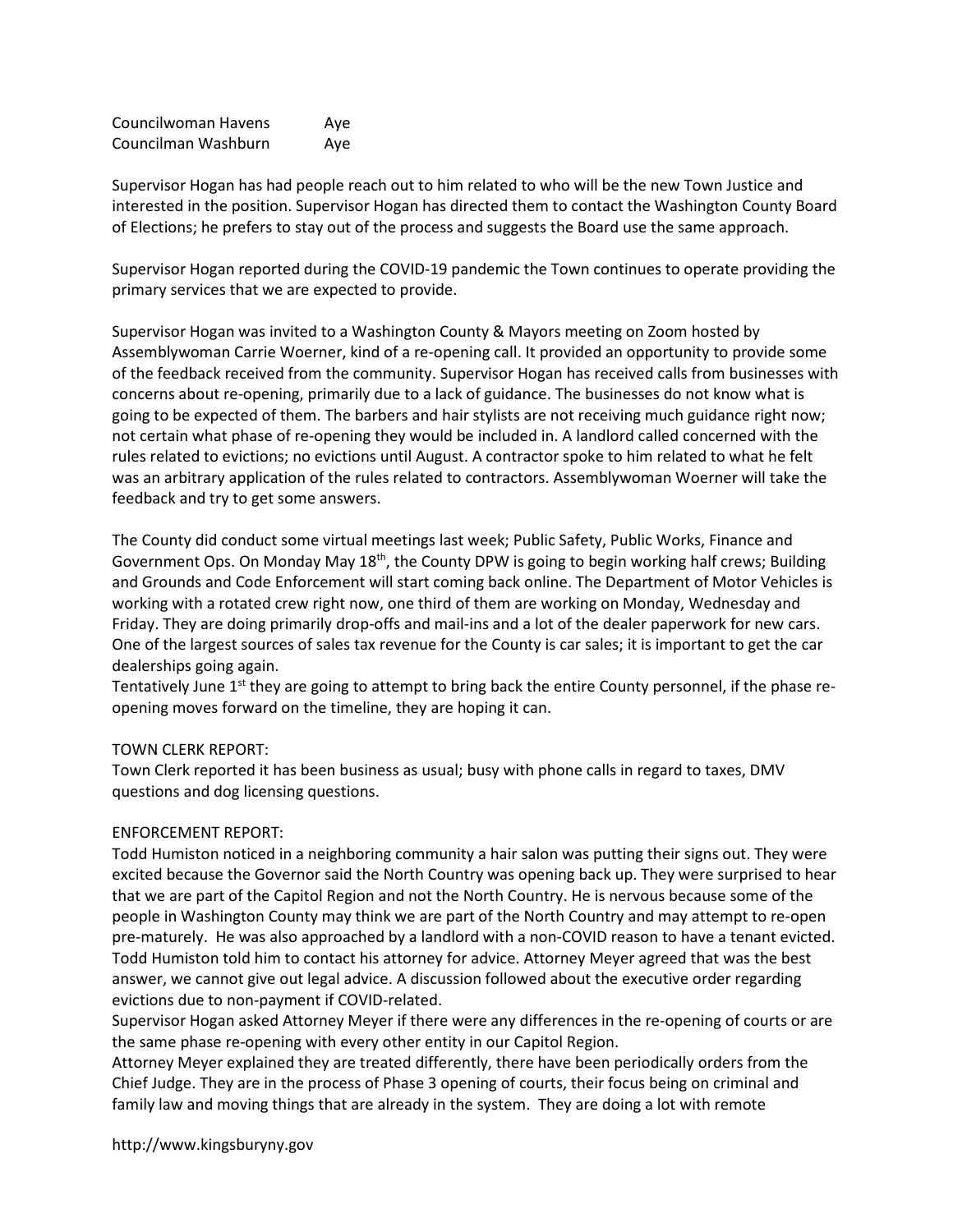Councilwoman Havens Aye Councilman Washburn Aye

Supervisor Hogan has had people reach out to him related to who will be the new Town Justice and interested in the position. Supervisor Hogan has directed them to contact the Washington County Board of Elections; he prefers to stay out of the process and suggests the Board use the same approach.

Supervisor Hogan reported during the COVID-19 pandemic the Town continues to operate providing the primary services that we are expected to provide.

Supervisor Hogan was invited to a Washington County & Mayors meeting on Zoom hosted by Assemblywoman Carrie Woerner, kind of a re-opening call. It provided an opportunity to provide some of the feedback received from the community. Supervisor Hogan has received calls from businesses with concerns about re-opening, primarily due to a lack of guidance. The businesses do not know what is going to be expected of them. The barbers and hair stylists are not receiving much guidance right now; not certain what phase of re-opening they would be included in. A landlord called concerned with the rules related to evictions; no evictions until August. A contractor spoke to him related to what he felt was an arbitrary application of the rules related to contractors. Assemblywoman Woerner will take the feedback and try to get some answers.

The County did conduct some virtual meetings last week; Public Safety, Public Works, Finance and Government Ops. On Monday May  $18<sup>th</sup>$ , the County DPW is going to begin working half crews; Building and Grounds and Code Enforcement will start coming back online. The Department of Motor Vehicles is working with a rotated crew right now, one third of them are working on Monday, Wednesday and Friday. They are doing primarily drop-offs and mail-ins and a lot of the dealer paperwork for new cars. One of the largest sources of sales tax revenue for the County is car sales; it is important to get the car dealerships going again.

Tentatively June 1<sup>st</sup> they are going to attempt to bring back the entire County personnel, if the phase reopening moves forward on the timeline, they are hoping it can.

## TOWN CLERK REPORT:

Town Clerk reported it has been business as usual; busy with phone calls in regard to taxes, DMV questions and dog licensing questions.

## ENFORCEMENT REPORT:

Todd Humiston noticed in a neighboring community a hair salon was putting their signs out. They were excited because the Governor said the North Country was opening back up. They were surprised to hear that we are part of the Capitol Region and not the North Country. He is nervous because some of the people in Washington County may think we are part of the North Country and may attempt to re-open pre-maturely. He was also approached by a landlord with a non-COVID reason to have a tenant evicted. Todd Humiston told him to contact his attorney for advice. Attorney Meyer agreed that was the best answer, we cannot give out legal advice. A discussion followed about the executive order regarding evictions due to non-payment if COVID-related.

Supervisor Hogan asked Attorney Meyer if there were any differences in the re-opening of courts or are the same phase re-opening with every other entity in our Capitol Region.

Attorney Meyer explained they are treated differently, there have been periodically orders from the Chief Judge. They are in the process of Phase 3 opening of courts, their focus being on criminal and family law and moving things that are already in the system. They are doing a lot with remote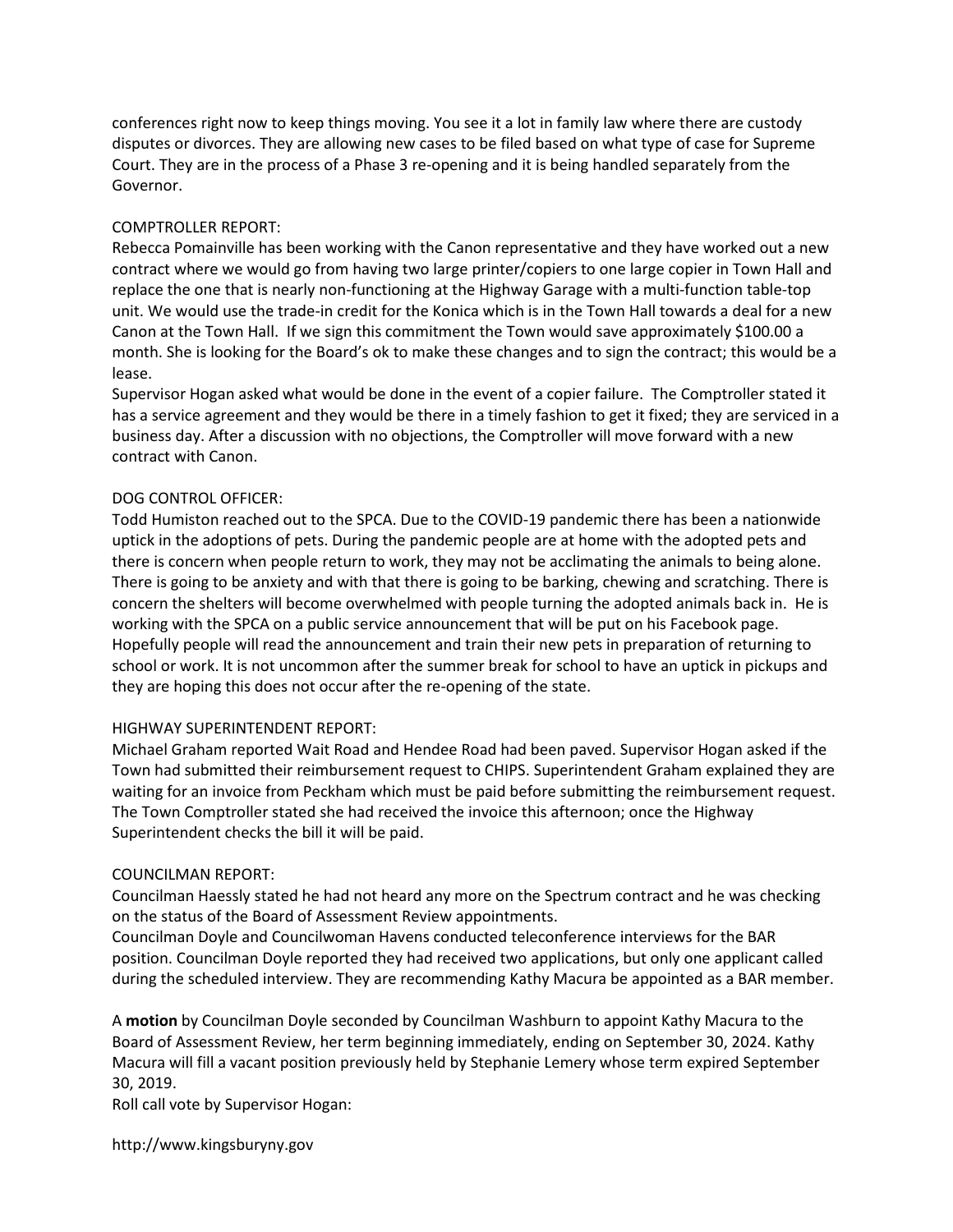conferences right now to keep things moving. You see it a lot in family law where there are custody disputes or divorces. They are allowing new cases to be filed based on what type of case for Supreme Court. They are in the process of a Phase 3 re-opening and it is being handled separately from the Governor.

## COMPTROLLER REPORT:

Rebecca Pomainville has been working with the Canon representative and they have worked out a new contract where we would go from having two large printer/copiers to one large copier in Town Hall and replace the one that is nearly non-functioning at the Highway Garage with a multi-function table-top unit. We would use the trade-in credit for the Konica which is in the Town Hall towards a deal for a new Canon at the Town Hall. If we sign this commitment the Town would save approximately \$100.00 a month. She is looking for the Board's ok to make these changes and to sign the contract; this would be a lease.

Supervisor Hogan asked what would be done in the event of a copier failure. The Comptroller stated it has a service agreement and they would be there in a timely fashion to get it fixed; they are serviced in a business day. After a discussion with no objections, the Comptroller will move forward with a new contract with Canon.

## DOG CONTROL OFFICER:

Todd Humiston reached out to the SPCA. Due to the COVID-19 pandemic there has been a nationwide uptick in the adoptions of pets. During the pandemic people are at home with the adopted pets and there is concern when people return to work, they may not be acclimating the animals to being alone. There is going to be anxiety and with that there is going to be barking, chewing and scratching. There is concern the shelters will become overwhelmed with people turning the adopted animals back in. He is working with the SPCA on a public service announcement that will be put on his Facebook page. Hopefully people will read the announcement and train their new pets in preparation of returning to school or work. It is not uncommon after the summer break for school to have an uptick in pickups and they are hoping this does not occur after the re-opening of the state.

## HIGHWAY SUPERINTENDENT REPORT:

Michael Graham reported Wait Road and Hendee Road had been paved. Supervisor Hogan asked if the Town had submitted their reimbursement request to CHIPS. Superintendent Graham explained they are waiting for an invoice from Peckham which must be paid before submitting the reimbursement request. The Town Comptroller stated she had received the invoice this afternoon; once the Highway Superintendent checks the bill it will be paid.

## COUNCILMAN REPORT:

Councilman Haessly stated he had not heard any more on the Spectrum contract and he was checking on the status of the Board of Assessment Review appointments.

Councilman Doyle and Councilwoman Havens conducted teleconference interviews for the BAR position. Councilman Doyle reported they had received two applications, but only one applicant called during the scheduled interview. They are recommending Kathy Macura be appointed as a BAR member.

A motion by Councilman Doyle seconded by Councilman Washburn to appoint Kathy Macura to the Board of Assessment Review, her term beginning immediately, ending on September 30, 2024. Kathy Macura will fill a vacant position previously held by Stephanie Lemery whose term expired September 30, 2019.

Roll call vote by Supervisor Hogan: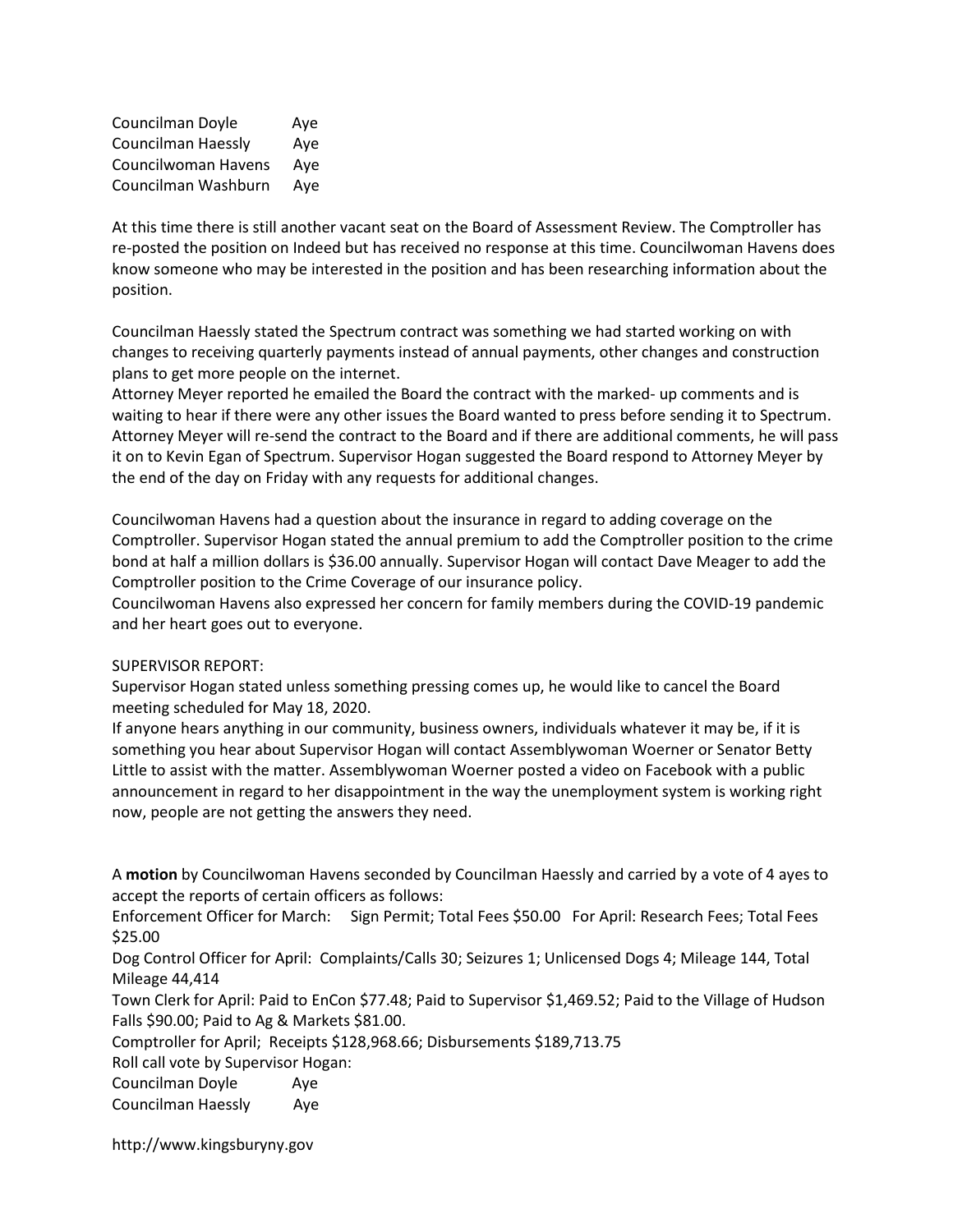| Councilman Doyle          | Aye |
|---------------------------|-----|
| <b>Councilman Haessly</b> | Aye |
| Councilwoman Havens       | Aye |
| Councilman Washburn       | Aye |

At this time there is still another vacant seat on the Board of Assessment Review. The Comptroller has re-posted the position on Indeed but has received no response at this time. Councilwoman Havens does know someone who may be interested in the position and has been researching information about the position.

Councilman Haessly stated the Spectrum contract was something we had started working on with changes to receiving quarterly payments instead of annual payments, other changes and construction plans to get more people on the internet.

Attorney Meyer reported he emailed the Board the contract with the marked- up comments and is waiting to hear if there were any other issues the Board wanted to press before sending it to Spectrum. Attorney Meyer will re-send the contract to the Board and if there are additional comments, he will pass it on to Kevin Egan of Spectrum. Supervisor Hogan suggested the Board respond to Attorney Meyer by the end of the day on Friday with any requests for additional changes.

Councilwoman Havens had a question about the insurance in regard to adding coverage on the Comptroller. Supervisor Hogan stated the annual premium to add the Comptroller position to the crime bond at half a million dollars is \$36.00 annually. Supervisor Hogan will contact Dave Meager to add the Comptroller position to the Crime Coverage of our insurance policy.

Councilwoman Havens also expressed her concern for family members during the COVID-19 pandemic and her heart goes out to everyone.

## SUPERVISOR REPORT:

Supervisor Hogan stated unless something pressing comes up, he would like to cancel the Board meeting scheduled for May 18, 2020.

If anyone hears anything in our community, business owners, individuals whatever it may be, if it is something you hear about Supervisor Hogan will contact Assemblywoman Woerner or Senator Betty Little to assist with the matter. Assemblywoman Woerner posted a video on Facebook with a public announcement in regard to her disappointment in the way the unemployment system is working right now, people are not getting the answers they need.

A motion by Councilwoman Havens seconded by Councilman Haessly and carried by a vote of 4 ayes to accept the reports of certain officers as follows:

Enforcement Officer for March: Sign Permit; Total Fees \$50.00 For April: Research Fees; Total Fees \$25.00

Dog Control Officer for April: Complaints/Calls 30; Seizures 1; Unlicensed Dogs 4; Mileage 144, Total Mileage 44,414

Town Clerk for April: Paid to EnCon \$77.48; Paid to Supervisor \$1,469.52; Paid to the Village of Hudson Falls \$90.00; Paid to Ag & Markets \$81.00.

Comptroller for April; Receipts \$128,968.66; Disbursements \$189,713.75

Roll call vote by Supervisor Hogan:

Councilman Doyle Aye Councilman Haessly Aye